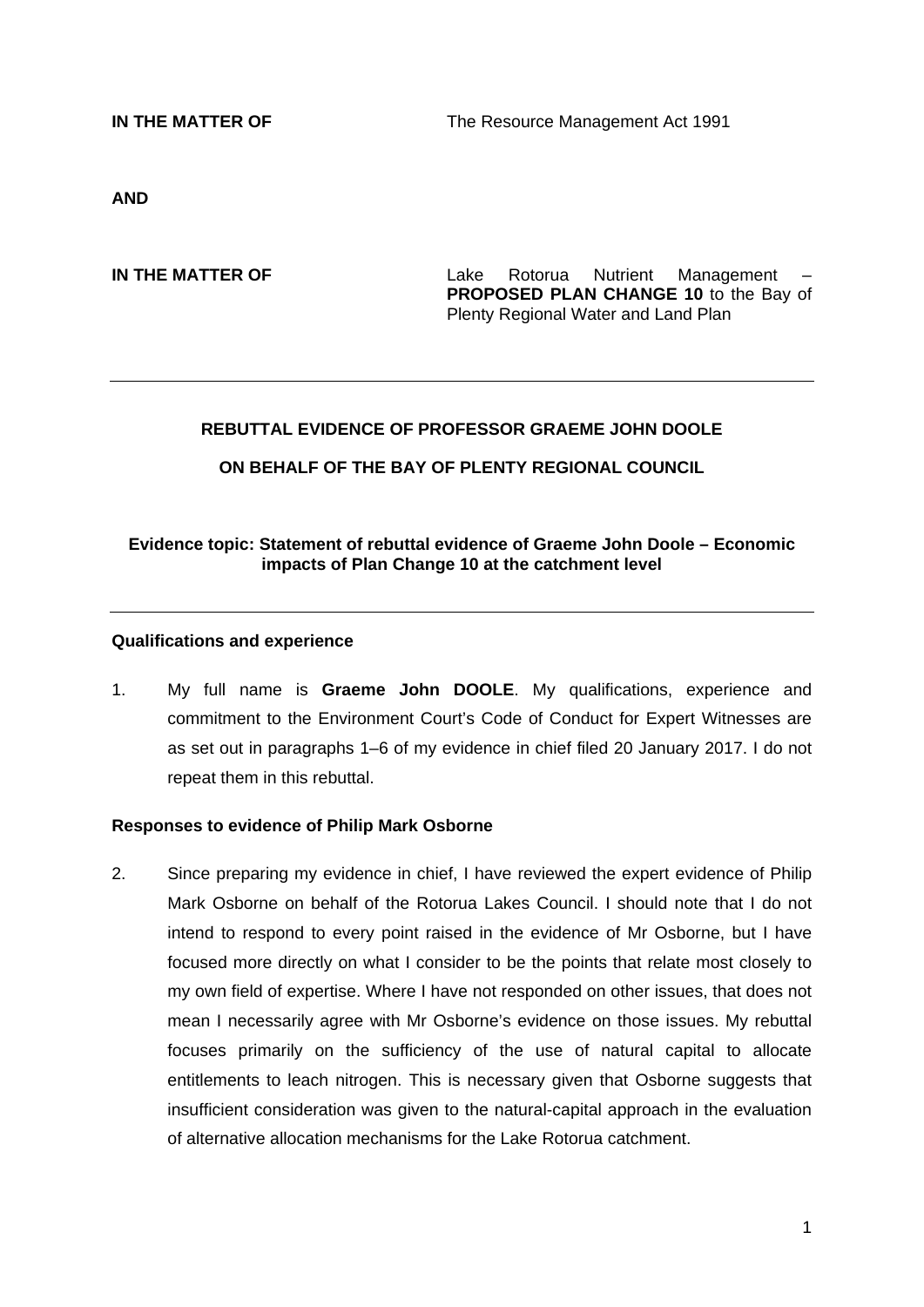**IN THE MATTER OF The Resource Management Act 1991** 

**AND** 

**IN THE MATTER OF THE SERVICE 2012 CAREL ROTOR CONTROLLER IN THE MANAGEMENT LAKE EXAMPLE AND LAKE EXAMPLE AND PROPOSED PLAN CHANGE 10** to the Bay of Plenty Regional Water and Land Plan

### **REBUTTAL EVIDENCE OF PROFESSOR GRAEME JOHN DOOLE**

**ON BEHALF OF THE BAY OF PLENTY REGIONAL COUNCIL** 

## **Evidence topic: Statement of rebuttal evidence of Graeme John Doole – Economic impacts of Plan Change 10 at the catchment level**

#### **Qualifications and experience**

1. My full name is **Graeme John DOOLE**. My qualifications, experience and commitment to the Environment Court's Code of Conduct for Expert Witnesses are as set out in paragraphs 1–6 of my evidence in chief filed 20 January 2017. I do not repeat them in this rebuttal.

### **Responses to evidence of Philip Mark Osborne**

2. Since preparing my evidence in chief, I have reviewed the expert evidence of Philip Mark Osborne on behalf of the Rotorua Lakes Council. I should note that I do not intend to respond to every point raised in the evidence of Mr Osborne, but I have focused more directly on what I consider to be the points that relate most closely to my own field of expertise. Where I have not responded on other issues, that does not mean I necessarily agree with Mr Osborne's evidence on those issues. My rebuttal focuses primarily on the sufficiency of the use of natural capital to allocate entitlements to leach nitrogen. This is necessary given that Osborne suggests that insufficient consideration was given to the natural-capital approach in the evaluation of alternative allocation mechanisms for the Lake Rotorua catchment.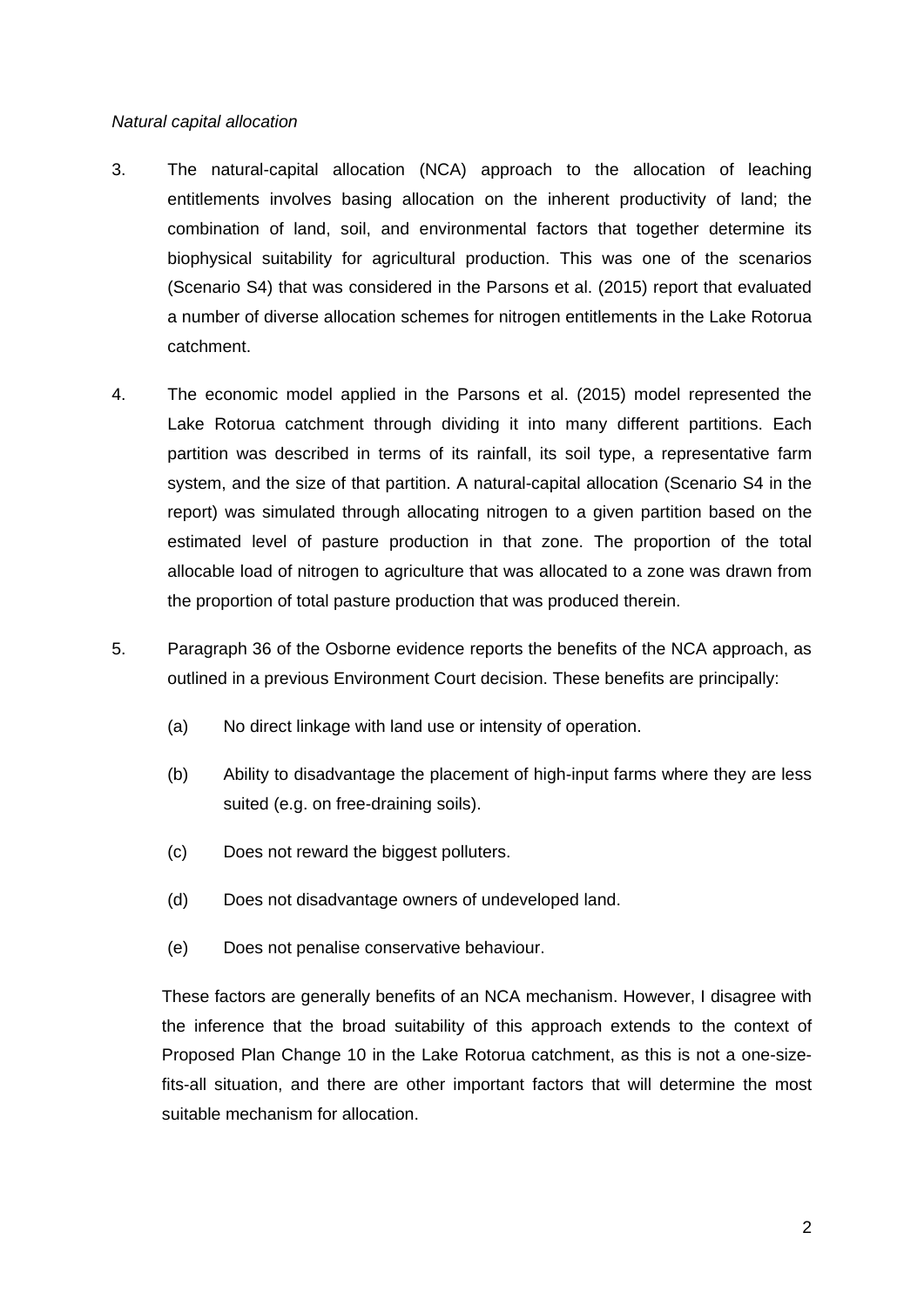### *Natural capital allocation*

- 3. The natural-capital allocation (NCA) approach to the allocation of leaching entitlements involves basing allocation on the inherent productivity of land; the combination of land, soil, and environmental factors that together determine its biophysical suitability for agricultural production. This was one of the scenarios (Scenario S4) that was considered in the Parsons et al. (2015) report that evaluated a number of diverse allocation schemes for nitrogen entitlements in the Lake Rotorua catchment.
- 4. The economic model applied in the Parsons et al. (2015) model represented the Lake Rotorua catchment through dividing it into many different partitions. Each partition was described in terms of its rainfall, its soil type, a representative farm system, and the size of that partition. A natural-capital allocation (Scenario S4 in the report) was simulated through allocating nitrogen to a given partition based on the estimated level of pasture production in that zone. The proportion of the total allocable load of nitrogen to agriculture that was allocated to a zone was drawn from the proportion of total pasture production that was produced therein.
- 5. Paragraph 36 of the Osborne evidence reports the benefits of the NCA approach, as outlined in a previous Environment Court decision. These benefits are principally:
	- (a) No direct linkage with land use or intensity of operation.
	- (b) Ability to disadvantage the placement of high-input farms where they are less suited (e.g. on free-draining soils).
	- (c) Does not reward the biggest polluters.
	- (d) Does not disadvantage owners of undeveloped land.
	- (e) Does not penalise conservative behaviour.

These factors are generally benefits of an NCA mechanism. However, I disagree with the inference that the broad suitability of this approach extends to the context of Proposed Plan Change 10 in the Lake Rotorua catchment, as this is not a one-sizefits-all situation, and there are other important factors that will determine the most suitable mechanism for allocation.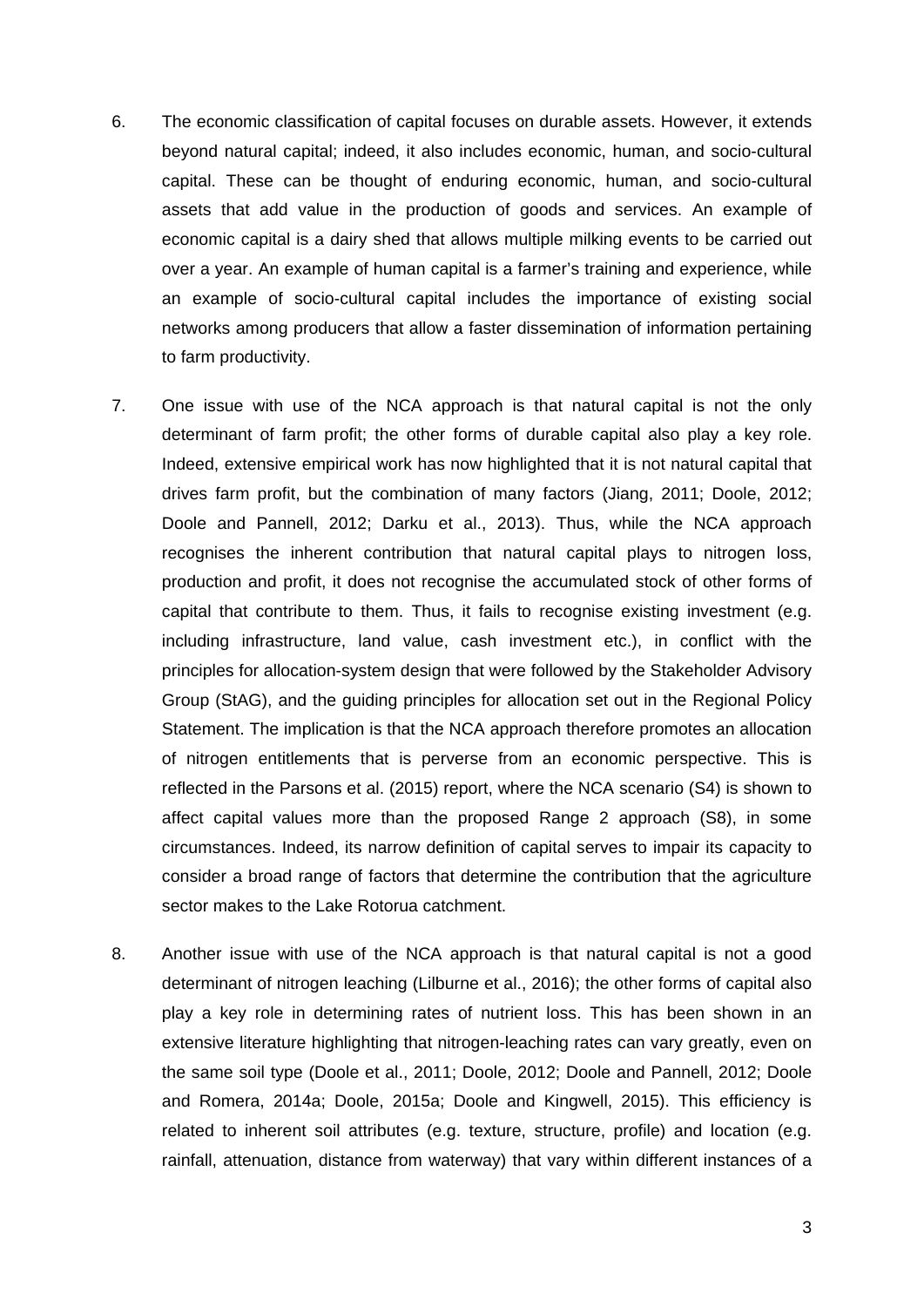- 6. The economic classification of capital focuses on durable assets. However, it extends beyond natural capital; indeed, it also includes economic, human, and socio-cultural capital. These can be thought of enduring economic, human, and socio-cultural assets that add value in the production of goods and services. An example of economic capital is a dairy shed that allows multiple milking events to be carried out over a year. An example of human capital is a farmer's training and experience, while an example of socio-cultural capital includes the importance of existing social networks among producers that allow a faster dissemination of information pertaining to farm productivity.
- 7. One issue with use of the NCA approach is that natural capital is not the only determinant of farm profit; the other forms of durable capital also play a key role. Indeed, extensive empirical work has now highlighted that it is not natural capital that drives farm profit, but the combination of many factors (Jiang, 2011; Doole, 2012; Doole and Pannell, 2012; Darku et al., 2013). Thus, while the NCA approach recognises the inherent contribution that natural capital plays to nitrogen loss, production and profit, it does not recognise the accumulated stock of other forms of capital that contribute to them. Thus, it fails to recognise existing investment (e.g. including infrastructure, land value, cash investment etc.), in conflict with the principles for allocation-system design that were followed by the Stakeholder Advisory Group (StAG), and the guiding principles for allocation set out in the Regional Policy Statement. The implication is that the NCA approach therefore promotes an allocation of nitrogen entitlements that is perverse from an economic perspective. This is reflected in the Parsons et al. (2015) report, where the NCA scenario (S4) is shown to affect capital values more than the proposed Range 2 approach (S8), in some circumstances. Indeed, its narrow definition of capital serves to impair its capacity to consider a broad range of factors that determine the contribution that the agriculture sector makes to the Lake Rotorua catchment.
- 8. Another issue with use of the NCA approach is that natural capital is not a good determinant of nitrogen leaching (Lilburne et al., 2016); the other forms of capital also play a key role in determining rates of nutrient loss. This has been shown in an extensive literature highlighting that nitrogen-leaching rates can vary greatly, even on the same soil type (Doole et al., 2011; Doole, 2012; Doole and Pannell, 2012; Doole and Romera, 2014a; Doole, 2015a; Doole and Kingwell, 2015). This efficiency is related to inherent soil attributes (e.g. texture, structure, profile) and location (e.g. rainfall, attenuation, distance from waterway) that vary within different instances of a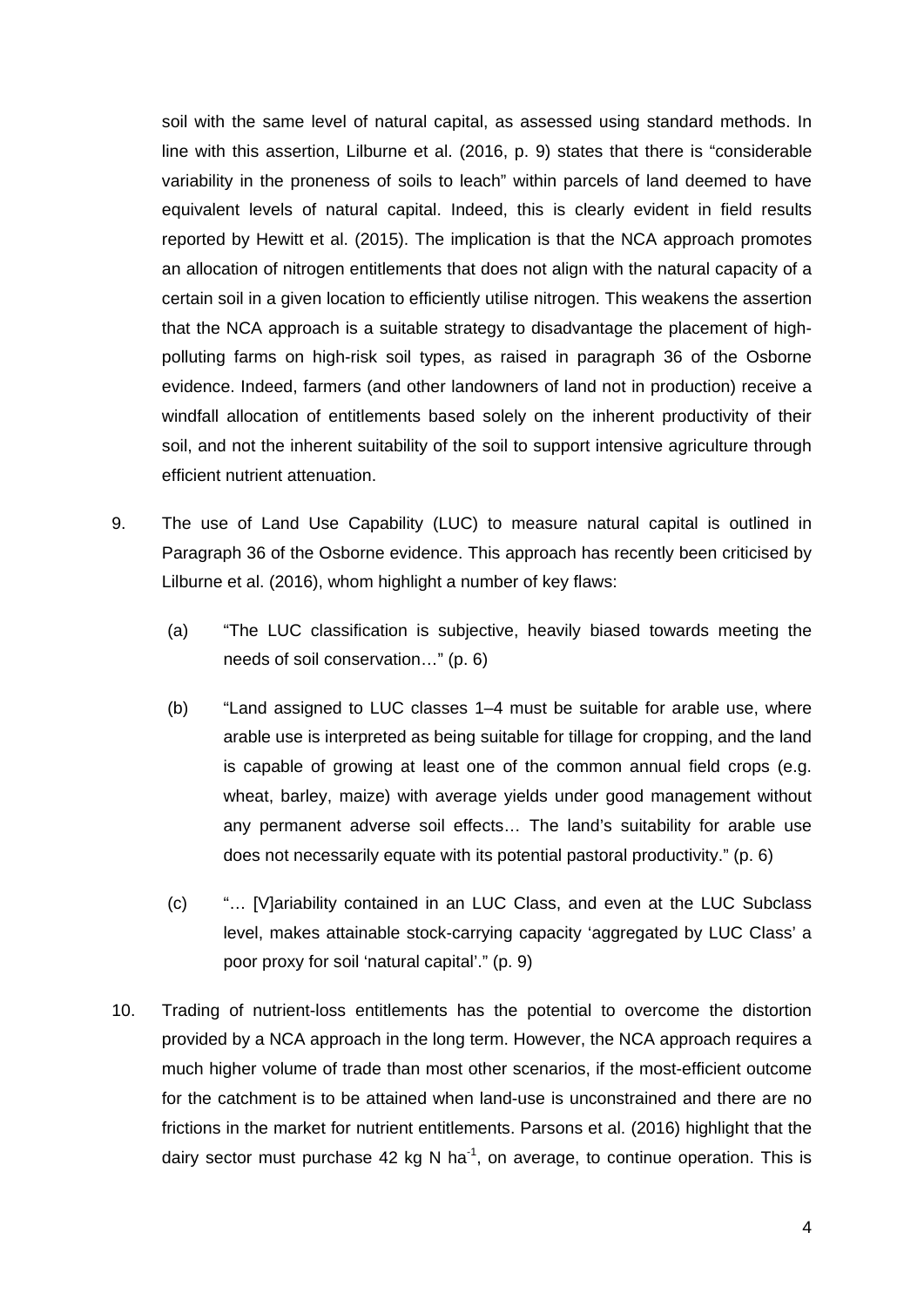soil with the same level of natural capital, as assessed using standard methods. In line with this assertion, Lilburne et al. (2016, p. 9) states that there is "considerable variability in the proneness of soils to leach" within parcels of land deemed to have equivalent levels of natural capital. Indeed, this is clearly evident in field results reported by Hewitt et al. (2015). The implication is that the NCA approach promotes an allocation of nitrogen entitlements that does not align with the natural capacity of a certain soil in a given location to efficiently utilise nitrogen. This weakens the assertion that the NCA approach is a suitable strategy to disadvantage the placement of highpolluting farms on high-risk soil types, as raised in paragraph 36 of the Osborne evidence. Indeed, farmers (and other landowners of land not in production) receive a windfall allocation of entitlements based solely on the inherent productivity of their soil, and not the inherent suitability of the soil to support intensive agriculture through efficient nutrient attenuation.

- 9. The use of Land Use Capability (LUC) to measure natural capital is outlined in Paragraph 36 of the Osborne evidence. This approach has recently been criticised by Lilburne et al. (2016), whom highlight a number of key flaws:
	- (a) "The LUC classification is subjective, heavily biased towards meeting the needs of soil conservation…" (p. 6)
	- (b) "Land assigned to LUC classes 1–4 must be suitable for arable use, where arable use is interpreted as being suitable for tillage for cropping, and the land is capable of growing at least one of the common annual field crops (e.g. wheat, barley, maize) with average yields under good management without any permanent adverse soil effects… The land's suitability for arable use does not necessarily equate with its potential pastoral productivity." (p. 6)
	- (c) "… [V]ariability contained in an LUC Class, and even at the LUC Subclass level, makes attainable stock-carrying capacity 'aggregated by LUC Class' a poor proxy for soil 'natural capital'." (p. 9)
- 10. Trading of nutrient-loss entitlements has the potential to overcome the distortion provided by a NCA approach in the long term. However, the NCA approach requires a much higher volume of trade than most other scenarios, if the most-efficient outcome for the catchment is to be attained when land-use is unconstrained and there are no frictions in the market for nutrient entitlements. Parsons et al. (2016) highlight that the dairy sector must purchase 42 kg N ha<sup>-1</sup>, on average, to continue operation. This is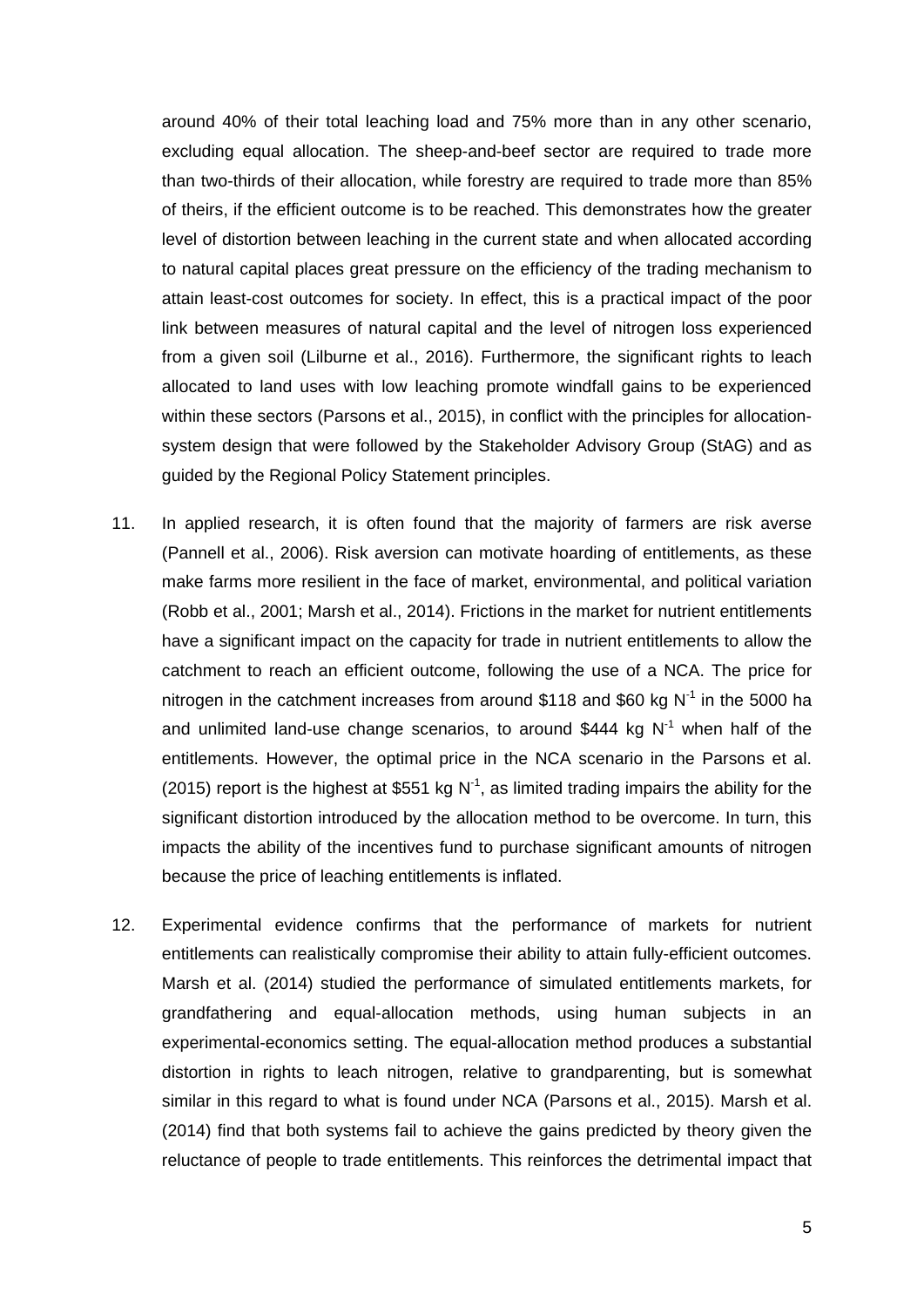around 40% of their total leaching load and 75% more than in any other scenario, excluding equal allocation. The sheep-and-beef sector are required to trade more than two-thirds of their allocation, while forestry are required to trade more than 85% of theirs, if the efficient outcome is to be reached. This demonstrates how the greater level of distortion between leaching in the current state and when allocated according to natural capital places great pressure on the efficiency of the trading mechanism to attain least-cost outcomes for society. In effect, this is a practical impact of the poor link between measures of natural capital and the level of nitrogen loss experienced from a given soil (Lilburne et al., 2016). Furthermore, the significant rights to leach allocated to land uses with low leaching promote windfall gains to be experienced within these sectors (Parsons et al., 2015), in conflict with the principles for allocationsystem design that were followed by the Stakeholder Advisory Group (StAG) and as guided by the Regional Policy Statement principles.

- 11. In applied research, it is often found that the majority of farmers are risk averse (Pannell et al., 2006). Risk aversion can motivate hoarding of entitlements, as these make farms more resilient in the face of market, environmental, and political variation (Robb et al., 2001; Marsh et al., 2014). Frictions in the market for nutrient entitlements have a significant impact on the capacity for trade in nutrient entitlements to allow the catchment to reach an efficient outcome, following the use of a NCA. The price for nitrogen in the catchment increases from around \$118 and \$60 kg  $N^{-1}$  in the 5000 ha and unlimited land-use change scenarios, to around \$444 kg  $N^{-1}$  when half of the entitlements. However, the optimal price in the NCA scenario in the Parsons et al. (2015) report is the highest at \$551 kg  $N^{-1}$ , as limited trading impairs the ability for the significant distortion introduced by the allocation method to be overcome. In turn, this impacts the ability of the incentives fund to purchase significant amounts of nitrogen because the price of leaching entitlements is inflated.
- 12. Experimental evidence confirms that the performance of markets for nutrient entitlements can realistically compromise their ability to attain fully-efficient outcomes. Marsh et al. (2014) studied the performance of simulated entitlements markets, for grandfathering and equal-allocation methods, using human subjects in an experimental-economics setting. The equal-allocation method produces a substantial distortion in rights to leach nitrogen, relative to grandparenting, but is somewhat similar in this regard to what is found under NCA (Parsons et al., 2015). Marsh et al. (2014) find that both systems fail to achieve the gains predicted by theory given the reluctance of people to trade entitlements. This reinforces the detrimental impact that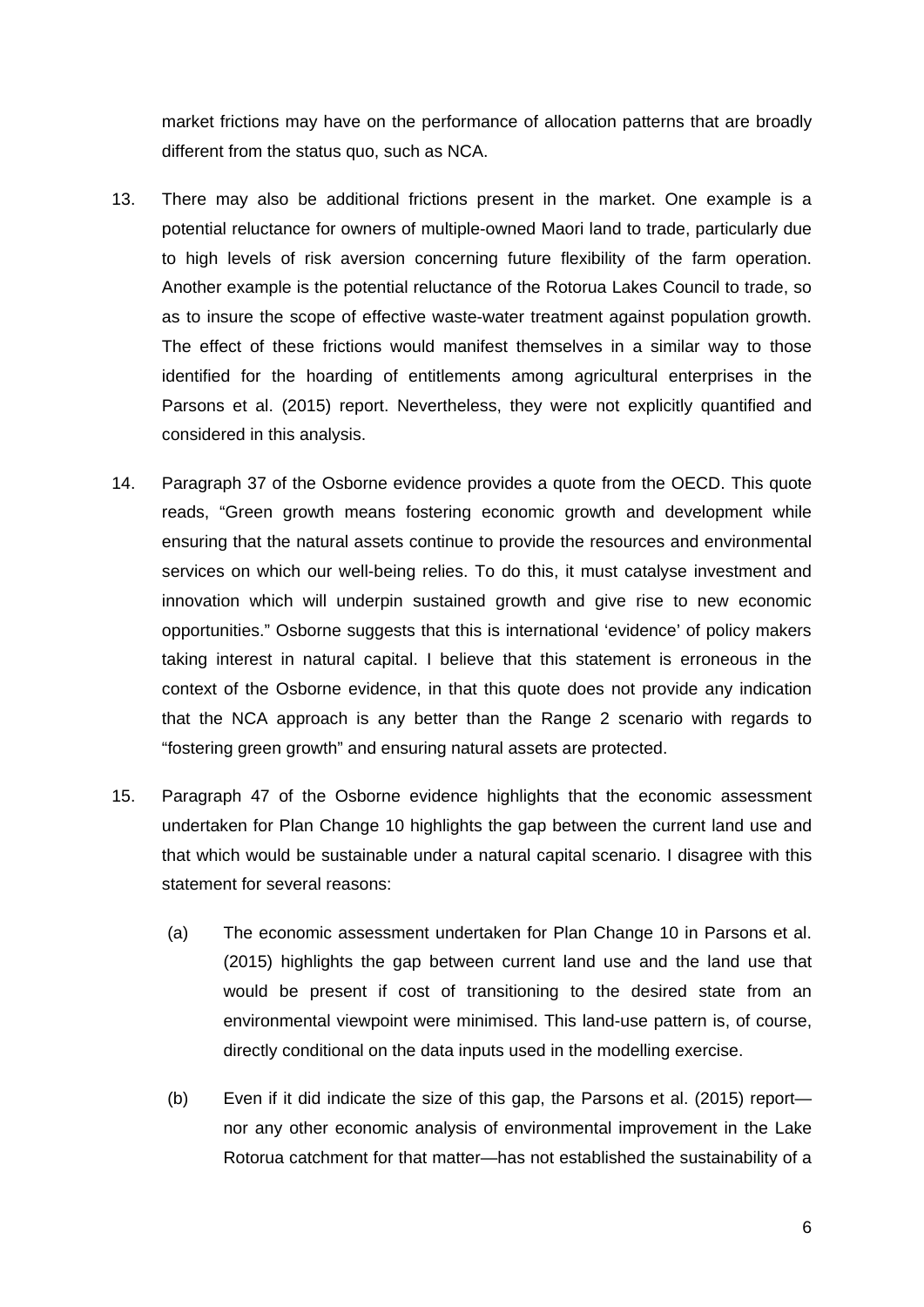market frictions may have on the performance of allocation patterns that are broadly different from the status quo, such as NCA.

- 13. There may also be additional frictions present in the market. One example is a potential reluctance for owners of multiple-owned Maori land to trade, particularly due to high levels of risk aversion concerning future flexibility of the farm operation. Another example is the potential reluctance of the Rotorua Lakes Council to trade, so as to insure the scope of effective waste-water treatment against population growth. The effect of these frictions would manifest themselves in a similar way to those identified for the hoarding of entitlements among agricultural enterprises in the Parsons et al. (2015) report. Nevertheless, they were not explicitly quantified and considered in this analysis.
- 14. Paragraph 37 of the Osborne evidence provides a quote from the OECD. This quote reads, "Green growth means fostering economic growth and development while ensuring that the natural assets continue to provide the resources and environmental services on which our well-being relies. To do this, it must catalyse investment and innovation which will underpin sustained growth and give rise to new economic opportunities." Osborne suggests that this is international 'evidence' of policy makers taking interest in natural capital. I believe that this statement is erroneous in the context of the Osborne evidence, in that this quote does not provide any indication that the NCA approach is any better than the Range 2 scenario with regards to "fostering green growth" and ensuring natural assets are protected.
- 15. Paragraph 47 of the Osborne evidence highlights that the economic assessment undertaken for Plan Change 10 highlights the gap between the current land use and that which would be sustainable under a natural capital scenario. I disagree with this statement for several reasons:
	- (a) The economic assessment undertaken for Plan Change 10 in Parsons et al. (2015) highlights the gap between current land use and the land use that would be present if cost of transitioning to the desired state from an environmental viewpoint were minimised. This land-use pattern is, of course, directly conditional on the data inputs used in the modelling exercise.
	- (b) Even if it did indicate the size of this gap, the Parsons et al. (2015) report nor any other economic analysis of environmental improvement in the Lake Rotorua catchment for that matter—has not established the sustainability of a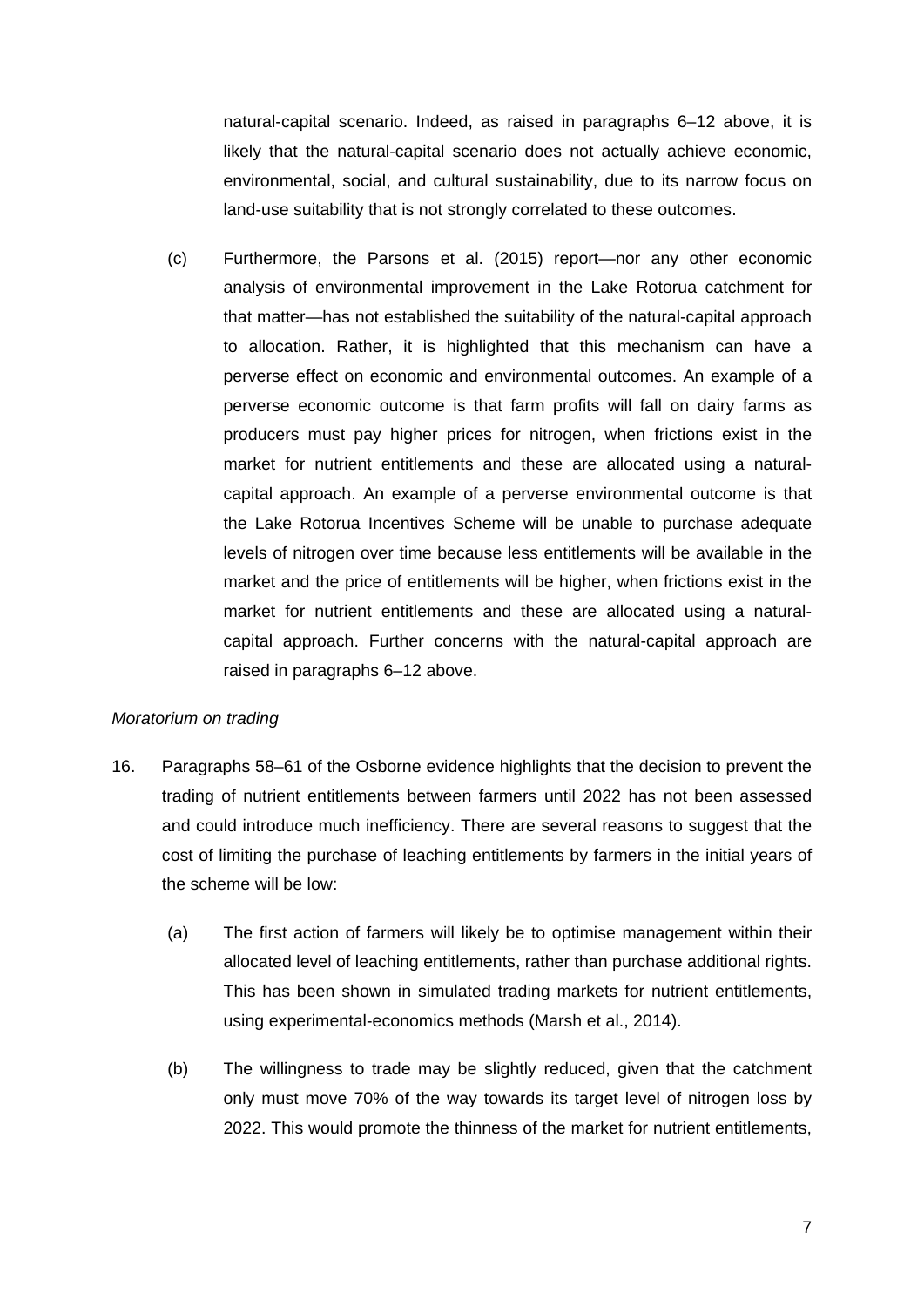natural-capital scenario. Indeed, as raised in paragraphs 6–12 above, it is likely that the natural-capital scenario does not actually achieve economic, environmental, social, and cultural sustainability, due to its narrow focus on land-use suitability that is not strongly correlated to these outcomes.

(c) Furthermore, the Parsons et al. (2015) report—nor any other economic analysis of environmental improvement in the Lake Rotorua catchment for that matter—has not established the suitability of the natural-capital approach to allocation. Rather, it is highlighted that this mechanism can have a perverse effect on economic and environmental outcomes. An example of a perverse economic outcome is that farm profits will fall on dairy farms as producers must pay higher prices for nitrogen, when frictions exist in the market for nutrient entitlements and these are allocated using a naturalcapital approach. An example of a perverse environmental outcome is that the Lake Rotorua Incentives Scheme will be unable to purchase adequate levels of nitrogen over time because less entitlements will be available in the market and the price of entitlements will be higher, when frictions exist in the market for nutrient entitlements and these are allocated using a naturalcapital approach. Further concerns with the natural-capital approach are raised in paragraphs 6–12 above.

### *Moratorium on trading*

- 16. Paragraphs 58–61 of the Osborne evidence highlights that the decision to prevent the trading of nutrient entitlements between farmers until 2022 has not been assessed and could introduce much inefficiency. There are several reasons to suggest that the cost of limiting the purchase of leaching entitlements by farmers in the initial years of the scheme will be low:
	- (a) The first action of farmers will likely be to optimise management within their allocated level of leaching entitlements, rather than purchase additional rights. This has been shown in simulated trading markets for nutrient entitlements, using experimental-economics methods (Marsh et al., 2014).
	- (b) The willingness to trade may be slightly reduced, given that the catchment only must move 70% of the way towards its target level of nitrogen loss by 2022. This would promote the thinness of the market for nutrient entitlements,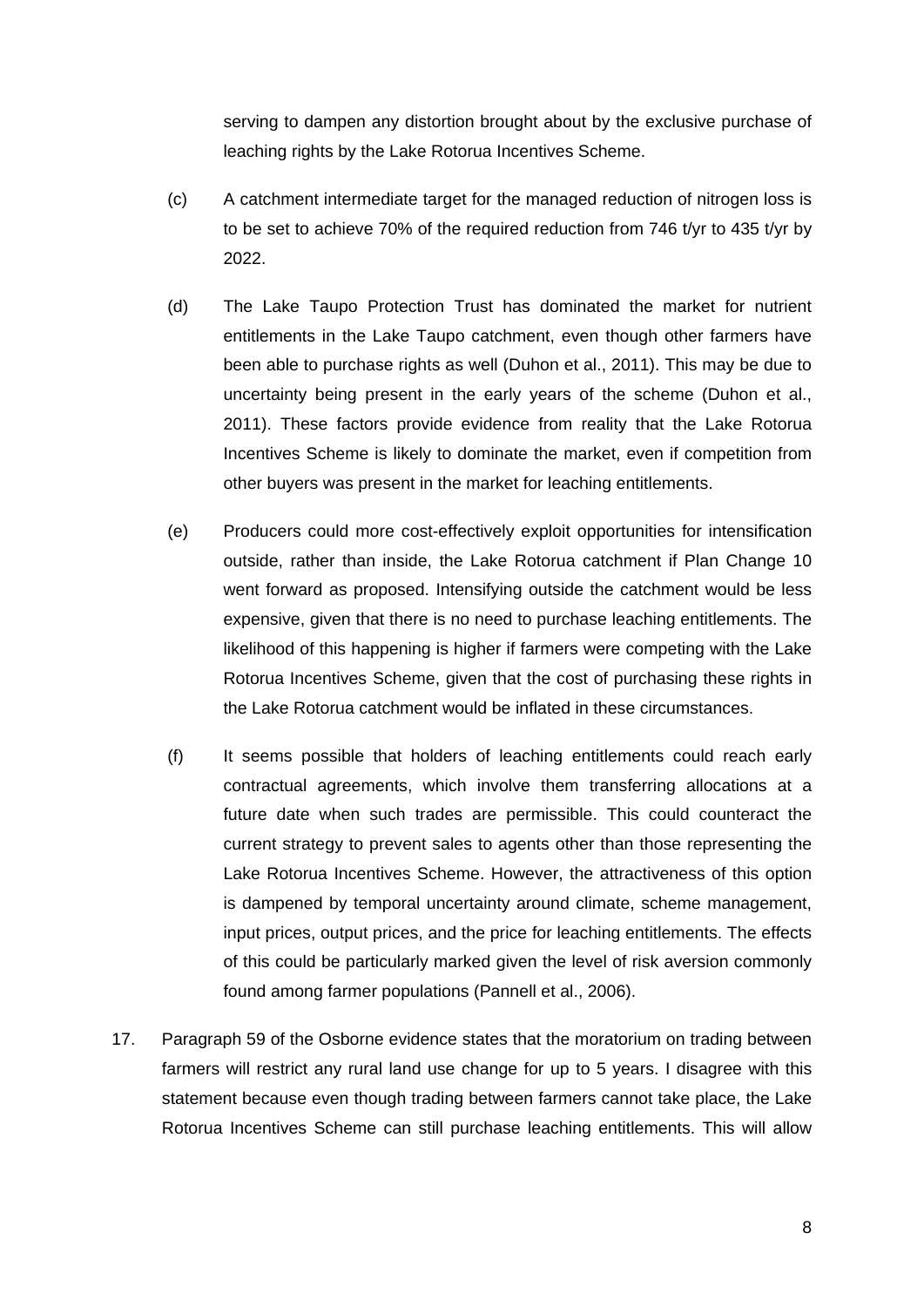serving to dampen any distortion brought about by the exclusive purchase of leaching rights by the Lake Rotorua Incentives Scheme.

- (c) A catchment intermediate target for the managed reduction of nitrogen loss is to be set to achieve 70% of the required reduction from 746 t/yr to 435 t/yr by 2022.
- (d) The Lake Taupo Protection Trust has dominated the market for nutrient entitlements in the Lake Taupo catchment, even though other farmers have been able to purchase rights as well (Duhon et al., 2011). This may be due to uncertainty being present in the early years of the scheme (Duhon et al., 2011). These factors provide evidence from reality that the Lake Rotorua Incentives Scheme is likely to dominate the market, even if competition from other buyers was present in the market for leaching entitlements.
- (e) Producers could more cost-effectively exploit opportunities for intensification outside, rather than inside, the Lake Rotorua catchment if Plan Change 10 went forward as proposed. Intensifying outside the catchment would be less expensive, given that there is no need to purchase leaching entitlements. The likelihood of this happening is higher if farmers were competing with the Lake Rotorua Incentives Scheme, given that the cost of purchasing these rights in the Lake Rotorua catchment would be inflated in these circumstances.
- (f) It seems possible that holders of leaching entitlements could reach early contractual agreements, which involve them transferring allocations at a future date when such trades are permissible. This could counteract the current strategy to prevent sales to agents other than those representing the Lake Rotorua Incentives Scheme. However, the attractiveness of this option is dampened by temporal uncertainty around climate, scheme management, input prices, output prices, and the price for leaching entitlements. The effects of this could be particularly marked given the level of risk aversion commonly found among farmer populations (Pannell et al., 2006).
- 17. Paragraph 59 of the Osborne evidence states that the moratorium on trading between farmers will restrict any rural land use change for up to 5 years. I disagree with this statement because even though trading between farmers cannot take place, the Lake Rotorua Incentives Scheme can still purchase leaching entitlements. This will allow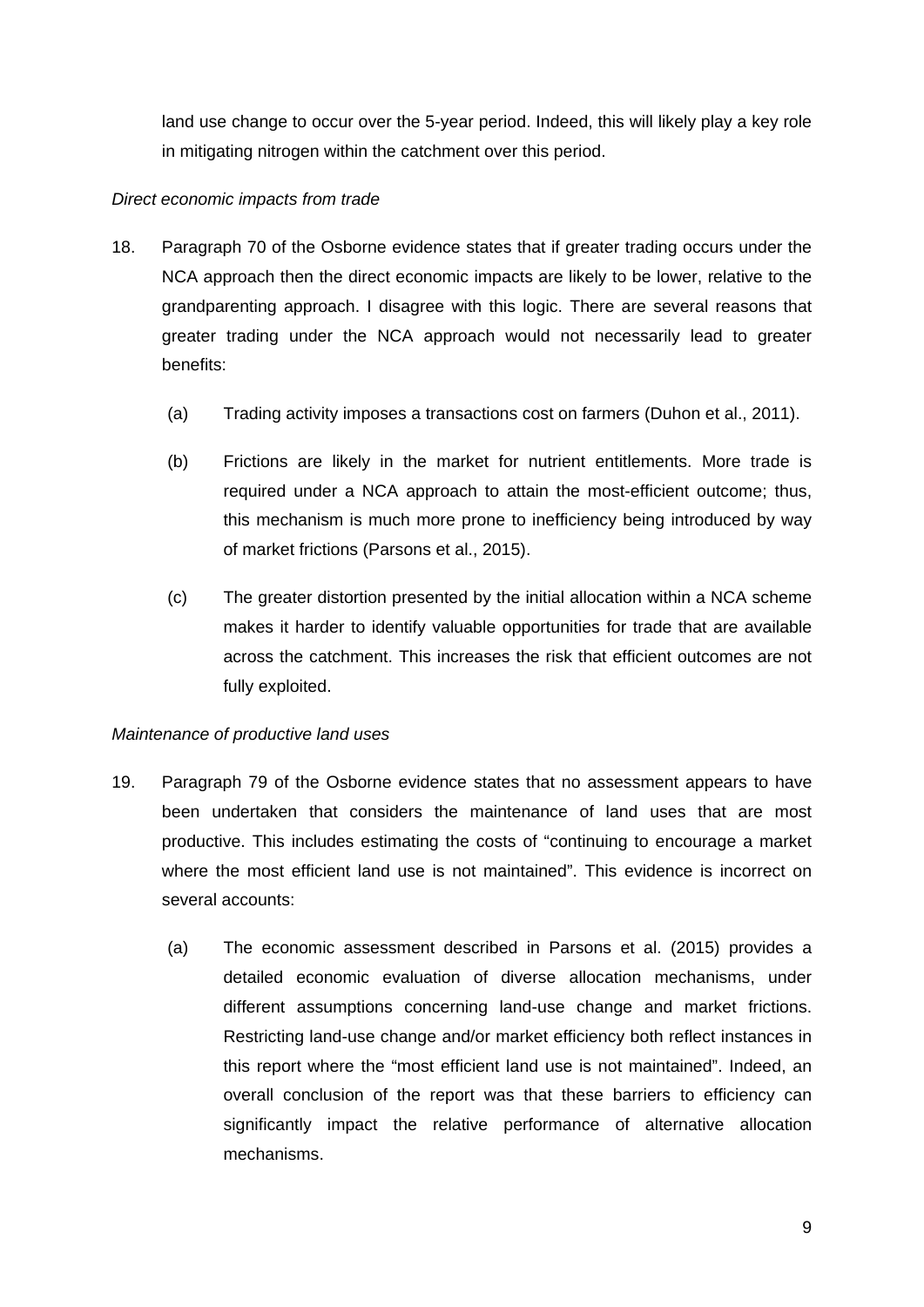land use change to occur over the 5-year period. Indeed, this will likely play a key role in mitigating nitrogen within the catchment over this period.

# *Direct economic impacts from trade*

- 18. Paragraph 70 of the Osborne evidence states that if greater trading occurs under the NCA approach then the direct economic impacts are likely to be lower, relative to the grandparenting approach. I disagree with this logic. There are several reasons that greater trading under the NCA approach would not necessarily lead to greater benefits:
	- (a) Trading activity imposes a transactions cost on farmers (Duhon et al., 2011).
	- (b) Frictions are likely in the market for nutrient entitlements. More trade is required under a NCA approach to attain the most-efficient outcome; thus, this mechanism is much more prone to inefficiency being introduced by way of market frictions (Parsons et al., 2015).
	- (c) The greater distortion presented by the initial allocation within a NCA scheme makes it harder to identify valuable opportunities for trade that are available across the catchment. This increases the risk that efficient outcomes are not fully exploited.

# *Maintenance of productive land uses*

- 19. Paragraph 79 of the Osborne evidence states that no assessment appears to have been undertaken that considers the maintenance of land uses that are most productive. This includes estimating the costs of "continuing to encourage a market where the most efficient land use is not maintained". This evidence is incorrect on several accounts:
	- (a) The economic assessment described in Parsons et al. (2015) provides a detailed economic evaluation of diverse allocation mechanisms, under different assumptions concerning land-use change and market frictions. Restricting land-use change and/or market efficiency both reflect instances in this report where the "most efficient land use is not maintained". Indeed, an overall conclusion of the report was that these barriers to efficiency can significantly impact the relative performance of alternative allocation mechanisms.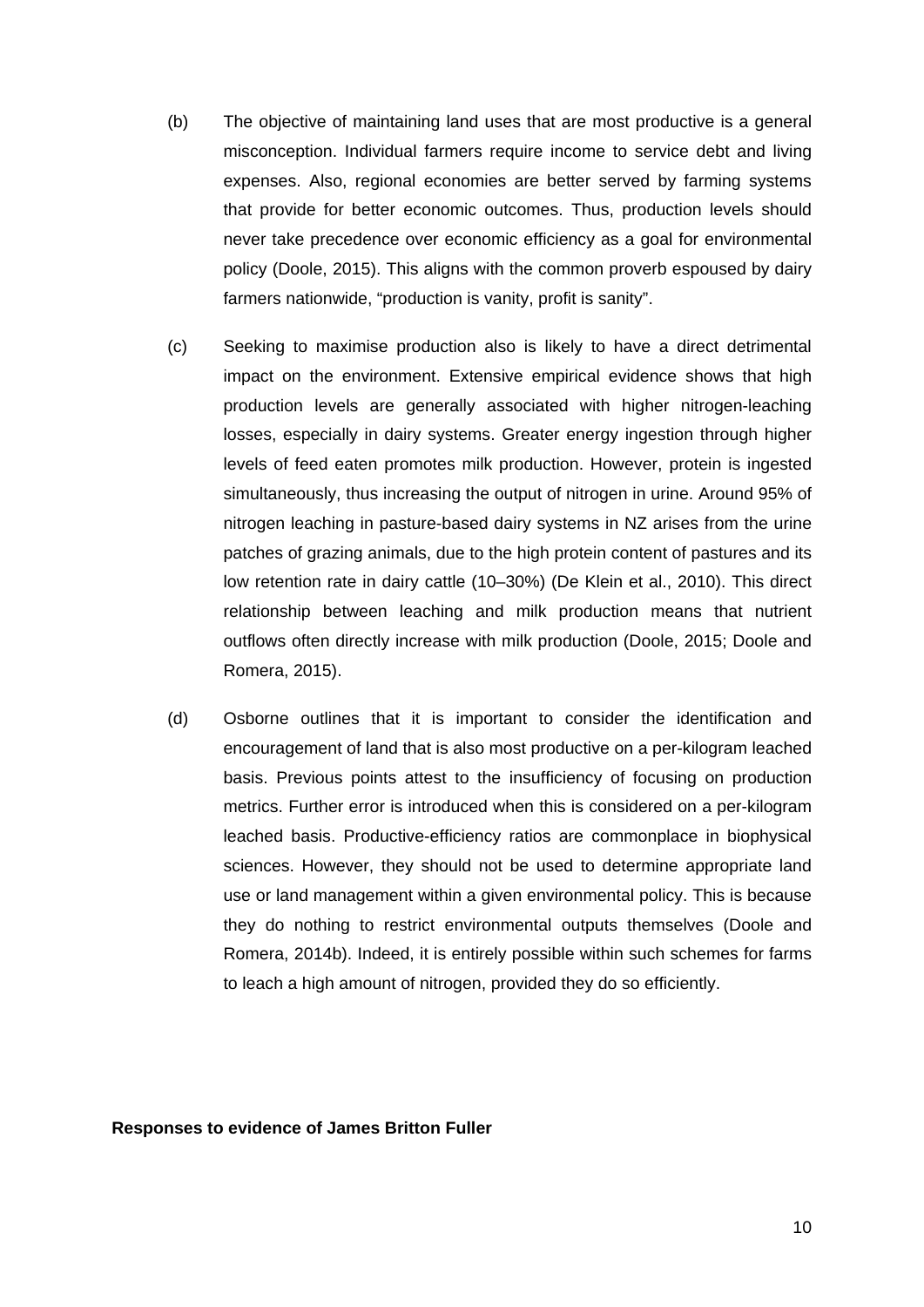- (b) The objective of maintaining land uses that are most productive is a general misconception. Individual farmers require income to service debt and living expenses. Also, regional economies are better served by farming systems that provide for better economic outcomes. Thus, production levels should never take precedence over economic efficiency as a goal for environmental policy (Doole, 2015). This aligns with the common proverb espoused by dairy farmers nationwide, "production is vanity, profit is sanity".
- (c) Seeking to maximise production also is likely to have a direct detrimental impact on the environment. Extensive empirical evidence shows that high production levels are generally associated with higher nitrogen-leaching losses, especially in dairy systems. Greater energy ingestion through higher levels of feed eaten promotes milk production. However, protein is ingested simultaneously, thus increasing the output of nitrogen in urine. Around 95% of nitrogen leaching in pasture-based dairy systems in NZ arises from the urine patches of grazing animals, due to the high protein content of pastures and its low retention rate in dairy cattle (10–30%) (De Klein et al., 2010). This direct relationship between leaching and milk production means that nutrient outflows often directly increase with milk production (Doole, 2015; Doole and Romera, 2015).
- (d) Osborne outlines that it is important to consider the identification and encouragement of land that is also most productive on a per-kilogram leached basis. Previous points attest to the insufficiency of focusing on production metrics. Further error is introduced when this is considered on a per-kilogram leached basis. Productive-efficiency ratios are commonplace in biophysical sciences. However, they should not be used to determine appropriate land use or land management within a given environmental policy. This is because they do nothing to restrict environmental outputs themselves (Doole and Romera, 2014b). Indeed, it is entirely possible within such schemes for farms to leach a high amount of nitrogen, provided they do so efficiently.

#### **Responses to evidence of James Britton Fuller**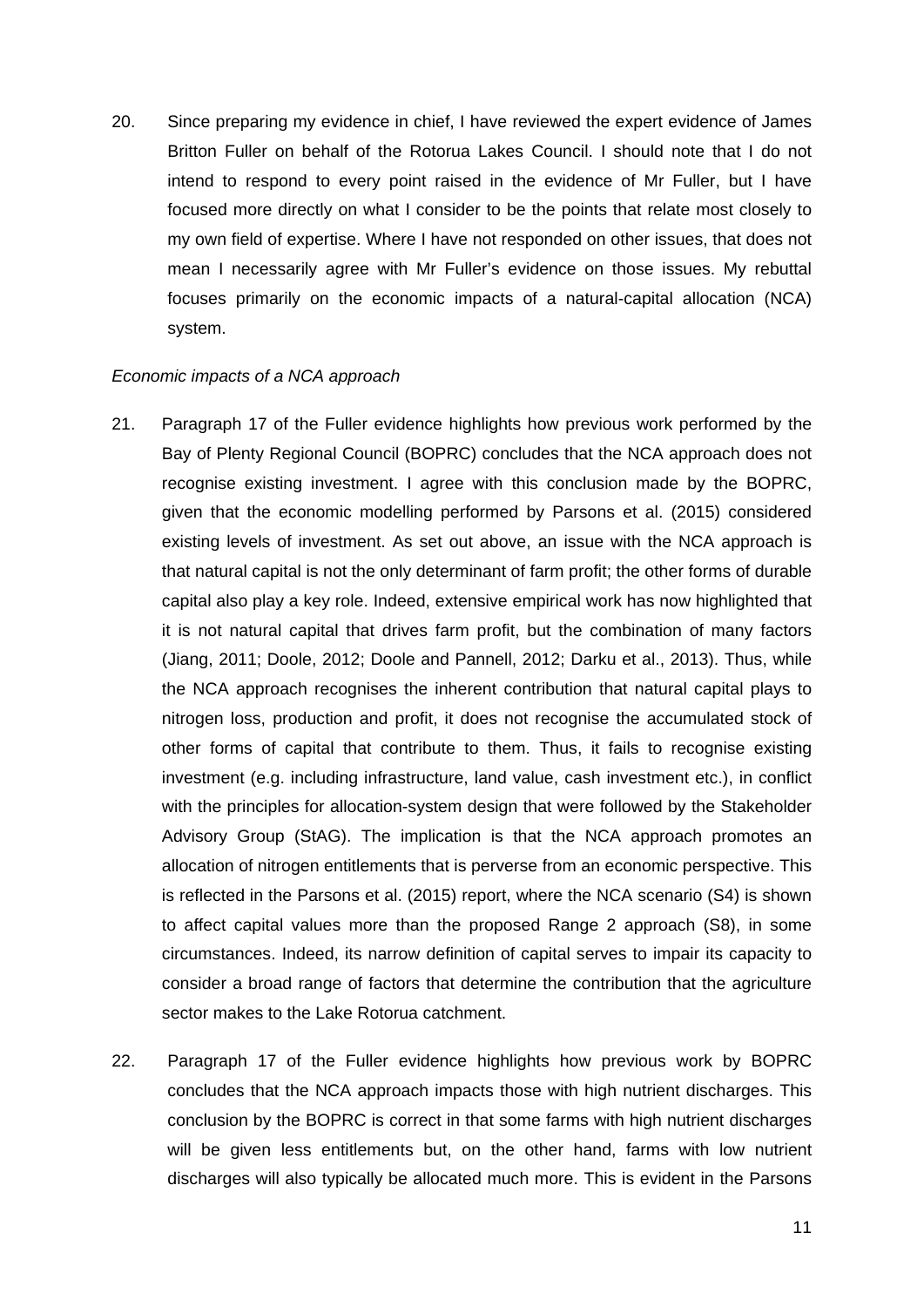20. Since preparing my evidence in chief, I have reviewed the expert evidence of James Britton Fuller on behalf of the Rotorua Lakes Council. I should note that I do not intend to respond to every point raised in the evidence of Mr Fuller, but I have focused more directly on what I consider to be the points that relate most closely to my own field of expertise. Where I have not responded on other issues, that does not mean I necessarily agree with Mr Fuller's evidence on those issues. My rebuttal focuses primarily on the economic impacts of a natural-capital allocation (NCA) system.

### *Economic impacts of a NCA approach*

- 21. Paragraph 17 of the Fuller evidence highlights how previous work performed by the Bay of Plenty Regional Council (BOPRC) concludes that the NCA approach does not recognise existing investment. I agree with this conclusion made by the BOPRC, given that the economic modelling performed by Parsons et al. (2015) considered existing levels of investment. As set out above, an issue with the NCA approach is that natural capital is not the only determinant of farm profit; the other forms of durable capital also play a key role. Indeed, extensive empirical work has now highlighted that it is not natural capital that drives farm profit, but the combination of many factors (Jiang, 2011; Doole, 2012; Doole and Pannell, 2012; Darku et al., 2013). Thus, while the NCA approach recognises the inherent contribution that natural capital plays to nitrogen loss, production and profit, it does not recognise the accumulated stock of other forms of capital that contribute to them. Thus, it fails to recognise existing investment (e.g. including infrastructure, land value, cash investment etc.), in conflict with the principles for allocation-system design that were followed by the Stakeholder Advisory Group (StAG). The implication is that the NCA approach promotes an allocation of nitrogen entitlements that is perverse from an economic perspective. This is reflected in the Parsons et al. (2015) report, where the NCA scenario (S4) is shown to affect capital values more than the proposed Range 2 approach (S8), in some circumstances. Indeed, its narrow definition of capital serves to impair its capacity to consider a broad range of factors that determine the contribution that the agriculture sector makes to the Lake Rotorua catchment.
- 22. Paragraph 17 of the Fuller evidence highlights how previous work by BOPRC concludes that the NCA approach impacts those with high nutrient discharges. This conclusion by the BOPRC is correct in that some farms with high nutrient discharges will be given less entitlements but, on the other hand, farms with low nutrient discharges will also typically be allocated much more. This is evident in the Parsons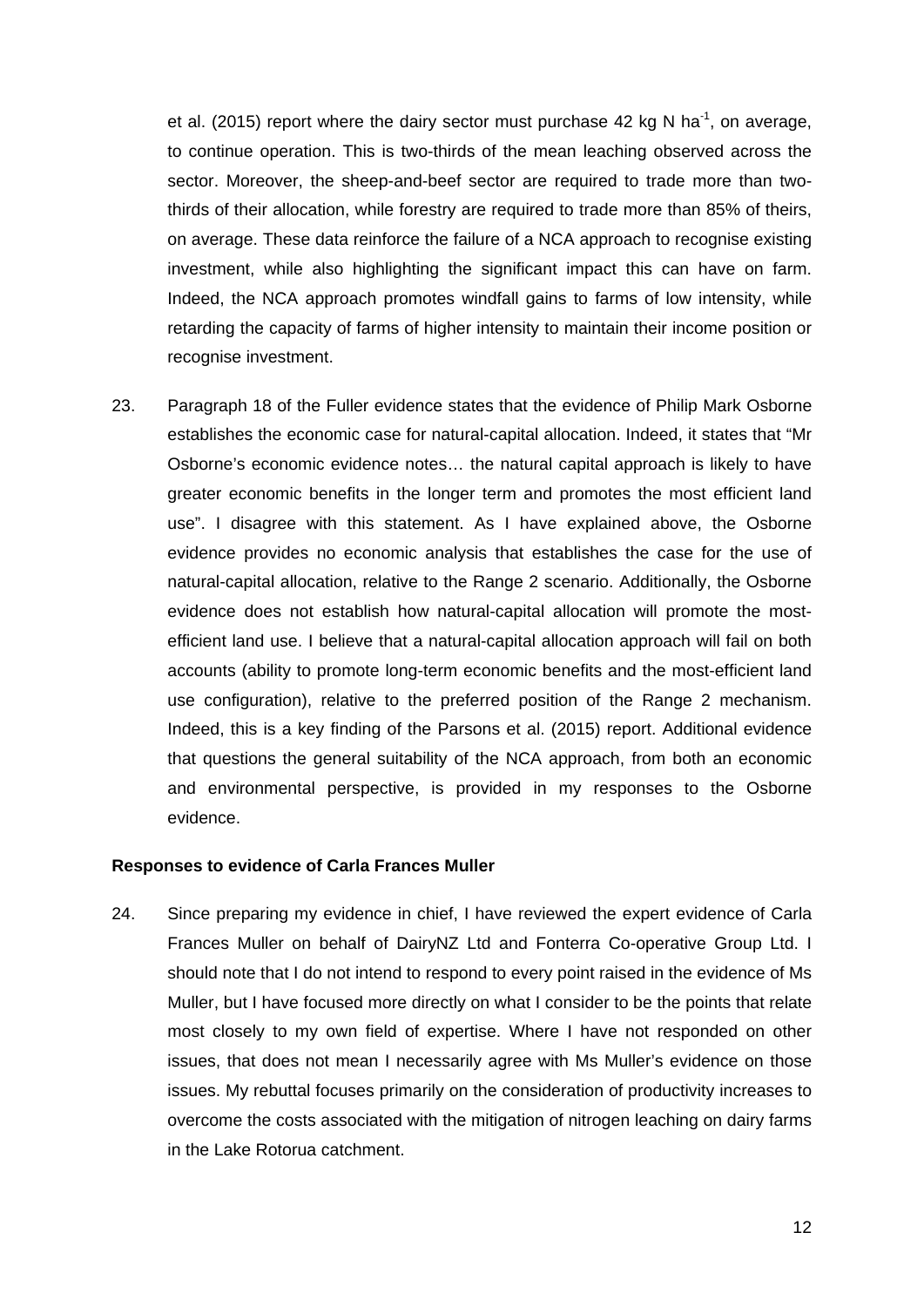et al. (2015) report where the dairy sector must purchase 42 kg N ha<sup>-1</sup>, on average, to continue operation. This is two-thirds of the mean leaching observed across the sector. Moreover, the sheep-and-beef sector are required to trade more than twothirds of their allocation, while forestry are required to trade more than 85% of theirs, on average. These data reinforce the failure of a NCA approach to recognise existing investment, while also highlighting the significant impact this can have on farm. Indeed, the NCA approach promotes windfall gains to farms of low intensity, while retarding the capacity of farms of higher intensity to maintain their income position or recognise investment.

23. Paragraph 18 of the Fuller evidence states that the evidence of Philip Mark Osborne establishes the economic case for natural-capital allocation. Indeed, it states that "Mr Osborne's economic evidence notes… the natural capital approach is likely to have greater economic benefits in the longer term and promotes the most efficient land use". I disagree with this statement. As I have explained above, the Osborne evidence provides no economic analysis that establishes the case for the use of natural-capital allocation, relative to the Range 2 scenario. Additionally, the Osborne evidence does not establish how natural-capital allocation will promote the mostefficient land use. I believe that a natural-capital allocation approach will fail on both accounts (ability to promote long-term economic benefits and the most-efficient land use configuration), relative to the preferred position of the Range 2 mechanism. Indeed, this is a key finding of the Parsons et al. (2015) report. Additional evidence that questions the general suitability of the NCA approach, from both an economic and environmental perspective, is provided in my responses to the Osborne evidence.

### **Responses to evidence of Carla Frances Muller**

24. Since preparing my evidence in chief, I have reviewed the expert evidence of Carla Frances Muller on behalf of DairyNZ Ltd and Fonterra Co-operative Group Ltd. I should note that I do not intend to respond to every point raised in the evidence of Ms Muller, but I have focused more directly on what I consider to be the points that relate most closely to my own field of expertise. Where I have not responded on other issues, that does not mean I necessarily agree with Ms Muller's evidence on those issues. My rebuttal focuses primarily on the consideration of productivity increases to overcome the costs associated with the mitigation of nitrogen leaching on dairy farms in the Lake Rotorua catchment.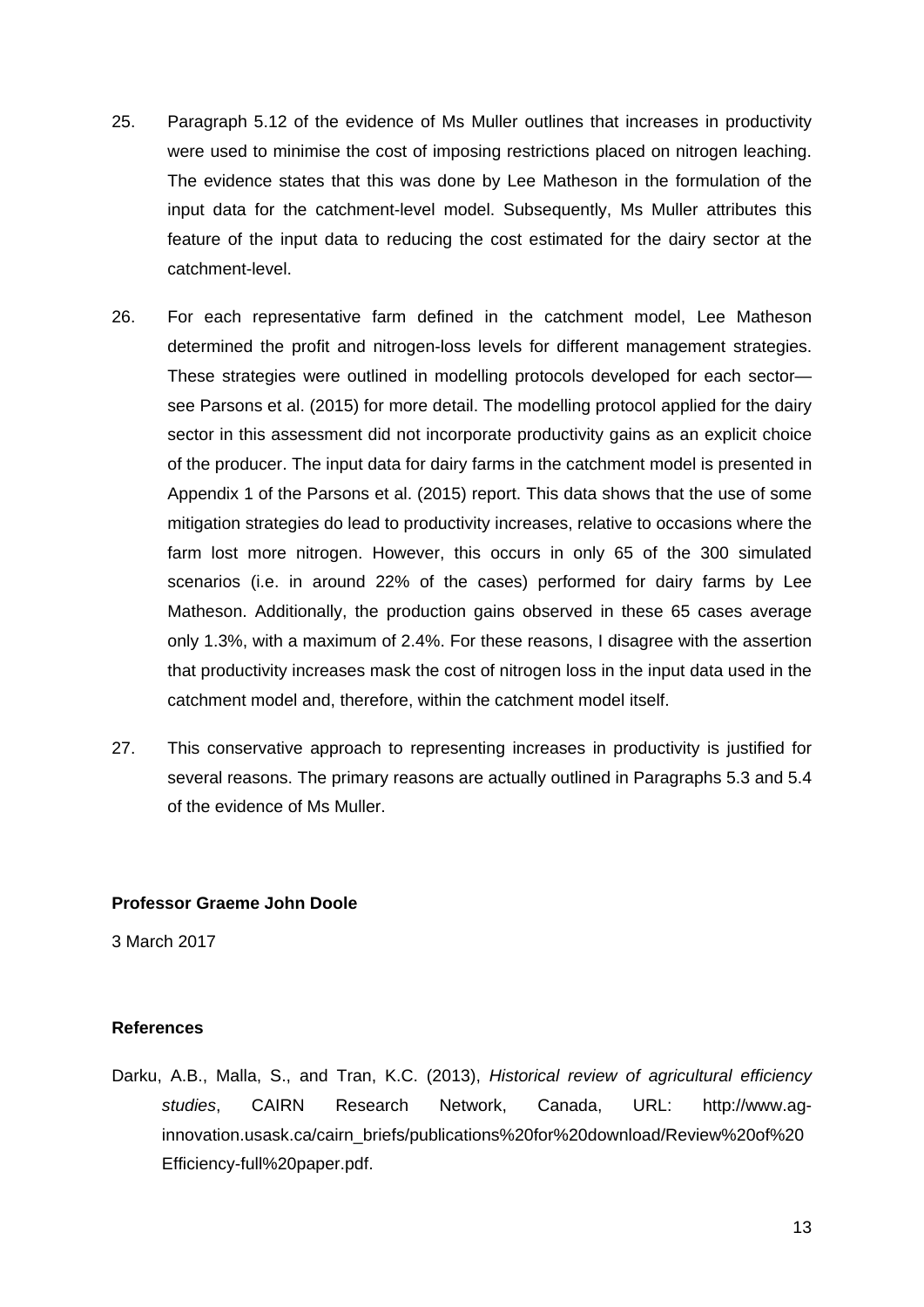- 25. Paragraph 5.12 of the evidence of Ms Muller outlines that increases in productivity were used to minimise the cost of imposing restrictions placed on nitrogen leaching. The evidence states that this was done by Lee Matheson in the formulation of the input data for the catchment-level model. Subsequently, Ms Muller attributes this feature of the input data to reducing the cost estimated for the dairy sector at the catchment-level.
- 26. For each representative farm defined in the catchment model, Lee Matheson determined the profit and nitrogen-loss levels for different management strategies. These strategies were outlined in modelling protocols developed for each sector see Parsons et al. (2015) for more detail. The modelling protocol applied for the dairy sector in this assessment did not incorporate productivity gains as an explicit choice of the producer. The input data for dairy farms in the catchment model is presented in Appendix 1 of the Parsons et al. (2015) report. This data shows that the use of some mitigation strategies do lead to productivity increases, relative to occasions where the farm lost more nitrogen. However, this occurs in only 65 of the 300 simulated scenarios (i.e. in around 22% of the cases) performed for dairy farms by Lee Matheson. Additionally, the production gains observed in these 65 cases average only 1.3%, with a maximum of 2.4%. For these reasons, I disagree with the assertion that productivity increases mask the cost of nitrogen loss in the input data used in the catchment model and, therefore, within the catchment model itself.
- 27. This conservative approach to representing increases in productivity is justified for several reasons. The primary reasons are actually outlined in Paragraphs 5.3 and 5.4 of the evidence of Ms Muller.

### **Professor Graeme John Doole**

3 March 2017

## **References**

Darku, A.B., Malla, S., and Tran, K.C. (2013), *Historical review of agricultural efficiency studies*, CAIRN Research Network, Canada, URL: http://www.aginnovation.usask.ca/cairn\_briefs/publications%20for%20download/Review%20of%20 Efficiency-full%20paper.pdf.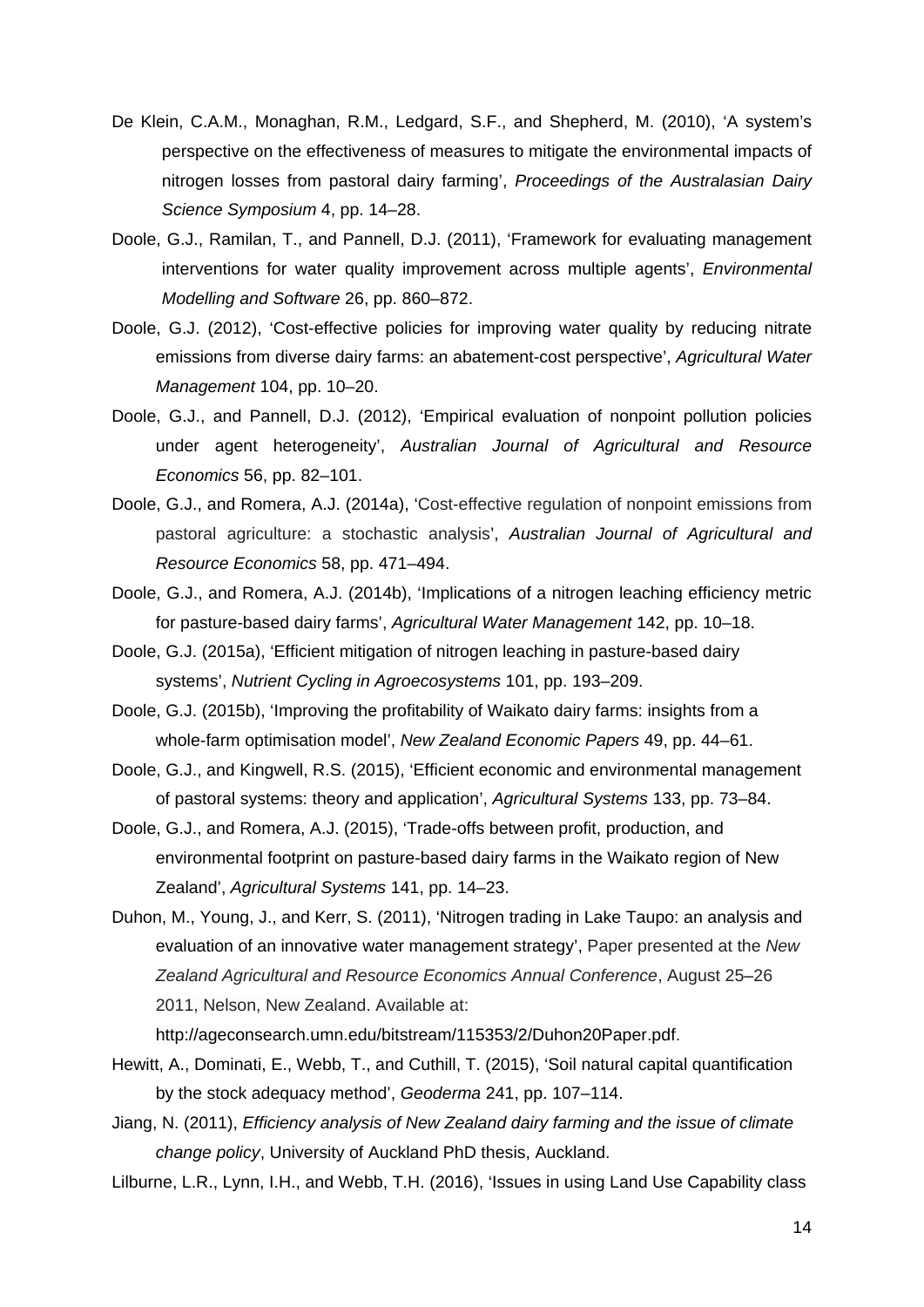- De Klein, C.A.M., Monaghan, R.M., Ledgard, S.F., and Shepherd, M. (2010), 'A system's perspective on the effectiveness of measures to mitigate the environmental impacts of nitrogen losses from pastoral dairy farming', *Proceedings of the Australasian Dairy Science Symposium* 4, pp. 14–28.
- Doole, G.J., Ramilan, T., and Pannell, D.J. (2011), 'Framework for evaluating management interventions for water quality improvement across multiple agents', *Environmental Modelling and Software* 26, pp. 860–872.
- Doole, G.J. (2012), 'Cost-effective policies for improving water quality by reducing nitrate emissions from diverse dairy farms: an abatement-cost perspective', *Agricultural Water Management* 104, pp. 10–20.
- Doole, G.J., and Pannell, D.J. (2012), 'Empirical evaluation of nonpoint pollution policies under agent heterogeneity', *Australian Journal of Agricultural and Resource Economics* 56, pp. 82–101.
- Doole, G.J., and Romera, A.J. (2014a), 'Cost-effective regulation of nonpoint emissions from pastoral agriculture: a stochastic analysis', *Australian Journal of Agricultural and Resource Economics* 58, pp. 471–494.
- Doole, G.J., and Romera, A.J. (2014b), 'Implications of a nitrogen leaching efficiency metric for pasture-based dairy farms', *Agricultural Water Management* 142, pp. 10–18.
- Doole, G.J. (2015a), 'Efficient mitigation of nitrogen leaching in pasture-based dairy systems', *Nutrient Cycling in Agroecosystems* 101, pp. 193–209.
- Doole, G.J. (2015b), 'Improving the profitability of Waikato dairy farms: insights from a whole-farm optimisation model', *New Zealand Economic Papers* 49, pp. 44–61.
- Doole, G.J., and Kingwell, R.S. (2015), 'Efficient economic and environmental management of pastoral systems: theory and application', *Agricultural Systems* 133, pp. 73–84.
- Doole, G.J., and Romera, A.J. (2015), 'Trade-offs between profit, production, and environmental footprint on pasture-based dairy farms in the Waikato region of New Zealand', *Agricultural Systems* 141, pp. 14–23.
- Duhon, M., Young, J., and Kerr, S. (2011), 'Nitrogen trading in Lake Taupo: an analysis and evaluation of an innovative water management strategy', Paper presented at the *New Zealand Agricultural and Resource Economics Annual Conference*, August 25–26 2011, Nelson, New Zealand. Available at:

http://ageconsearch.umn.edu/bitstream/115353/2/Duhon20Paper.pdf.

- Hewitt, A., Dominati, E., Webb, T., and Cuthill, T. (2015), 'Soil natural capital quantification by the stock adequacy method', *Geoderma* 241, pp. 107–114.
- Jiang, N. (2011), *Efficiency analysis of New Zealand dairy farming and the issue of climate change policy*, University of Auckland PhD thesis, Auckland.
- Lilburne, L.R., Lynn, I.H., and Webb, T.H. (2016), 'Issues in using Land Use Capability class